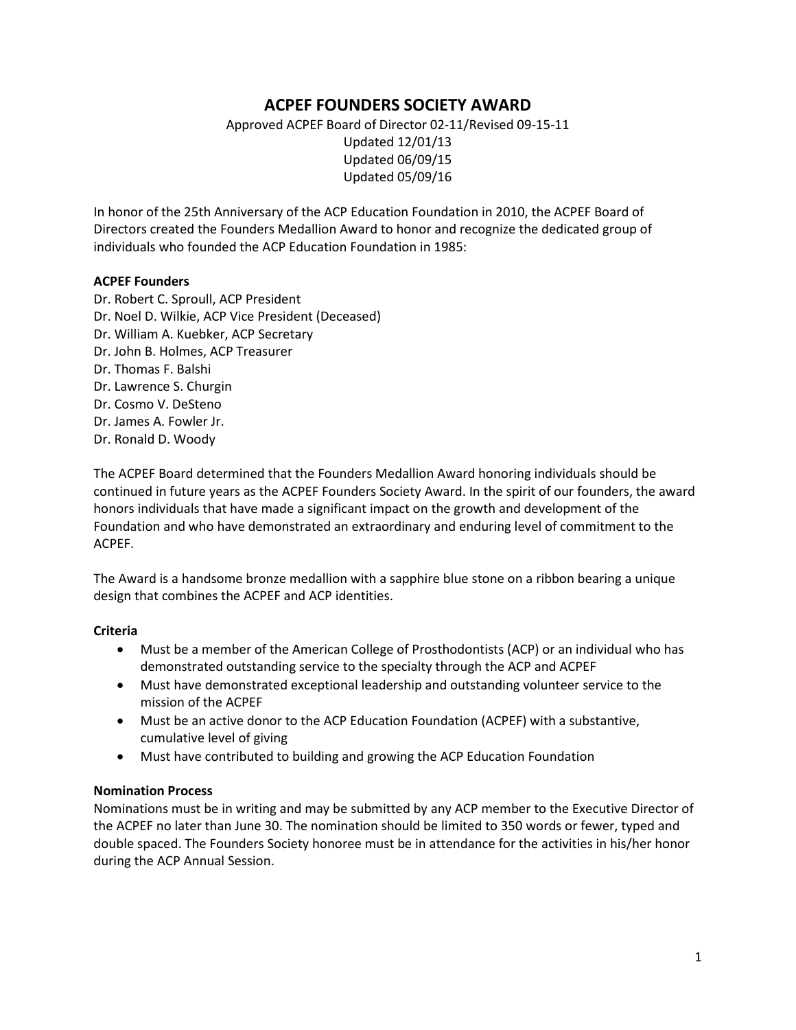# **ACPEF FOUNDERS SOCIETY AWARD**

Approved ACPEF Board of Director 02-11/Revised 09-15-11 Updated 12/01/13 Updated 06/09/15 Updated 05/09/16

In honor of the 25th Anniversary of the ACP Education Foundation in 2010, the ACPEF Board of Directors created the Founders Medallion Award to honor and recognize the dedicated group of individuals who founded the ACP Education Foundation in 1985:

#### **ACPEF Founders**

Dr. Robert C. Sproull, ACP President Dr. Noel D. Wilkie, ACP Vice President (Deceased) Dr. William A. Kuebker, ACP Secretary Dr. John B. Holmes, ACP Treasurer Dr. Thomas F. Balshi Dr. Lawrence S. Churgin Dr. Cosmo V. DeSteno Dr. James A. Fowler Jr. Dr. Ronald D. Woody

The ACPEF Board determined that the Founders Medallion Award honoring individuals should be continued in future years as the ACPEF Founders Society Award. In the spirit of our founders, the award honors individuals that have made a significant impact on the growth and development of the Foundation and who have demonstrated an extraordinary and enduring level of commitment to the ACPEF.

The Award is a handsome bronze medallion with a sapphire blue stone on a ribbon bearing a unique design that combines the ACPEF and ACP identities.

# **Criteria**

- Must be a member of the American College of Prosthodontists (ACP) or an individual who has demonstrated outstanding service to the specialty through the ACP and ACPEF
- Must have demonstrated exceptional leadership and outstanding volunteer service to the mission of the ACPEF
- Must be an active donor to the ACP Education Foundation (ACPEF) with a substantive, cumulative level of giving
- Must have contributed to building and growing the ACP Education Foundation

#### **Nomination Process**

Nominations must be in writing and may be submitted by any ACP member to the Executive Director of the ACPEF no later than June 30. The nomination should be limited to 350 words or fewer, typed and double spaced. The Founders Society honoree must be in attendance for the activities in his/her honor during the ACP Annual Session.